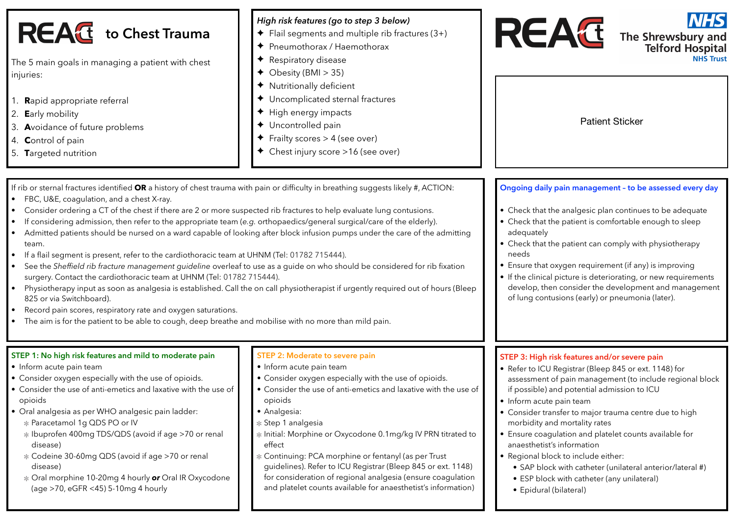| <b>REAC</b> to Chest Trauma<br>The 5 main goals in managing a patient with chest<br>injuries:<br>1. Rapid appropriate referral<br>2. Early mobility<br>3. Avoidance of future problems<br>4. Control of pain<br>5. Targeted nutrition                                                                                                                                                                                                                                                                                                                                                                                                                                                                                                                                                                                                                                                                                           | High risk features (go to step 3 below)<br>$\blacklozenge$ Flail segments and multiple rib fractures (3+)<br>◆ Pneumothorax / Haemothorax<br>Respiratory disease<br>$\triangleleft$ Obesity (BMI > 35)<br>Nutritionally deficient<br>◆ Uncomplicated sternal fractures<br>High energy impacts<br>◆ Uncontrolled pain<br>$\blacklozenge$ Frailty scores > 4 (see over)<br>← Chest injury score >16 (see over)                                                                                                                                                               | <b>NHS</b><br><b>REAC</b><br>The Shrewsbury and<br>Telford Hospital<br><b>NHS Trust</b><br><b>Patient Sticker</b>                                                                                                                                                                                                                                                                                                                                                                                                                                                                                            |
|---------------------------------------------------------------------------------------------------------------------------------------------------------------------------------------------------------------------------------------------------------------------------------------------------------------------------------------------------------------------------------------------------------------------------------------------------------------------------------------------------------------------------------------------------------------------------------------------------------------------------------------------------------------------------------------------------------------------------------------------------------------------------------------------------------------------------------------------------------------------------------------------------------------------------------|----------------------------------------------------------------------------------------------------------------------------------------------------------------------------------------------------------------------------------------------------------------------------------------------------------------------------------------------------------------------------------------------------------------------------------------------------------------------------------------------------------------------------------------------------------------------------|--------------------------------------------------------------------------------------------------------------------------------------------------------------------------------------------------------------------------------------------------------------------------------------------------------------------------------------------------------------------------------------------------------------------------------------------------------------------------------------------------------------------------------------------------------------------------------------------------------------|
| If rib or sternal fractures identified OR a history of chest trauma with pain or difficulty in breathing suggests likely #, ACTION:<br>FBC, U&E, coagulation, and a chest X-ray.<br>$\bullet$<br>Consider ordering a CT of the chest if there are 2 or more suspected rib fractures to help evaluate lung contusions.<br>٠<br>If considering admission, then refer to the appropriate team (e.g. orthopaedics/general surgical/care of the elderly).<br>$\bullet$<br>$\bullet$<br>team.<br>If a flail segment is present, refer to the cardiothoracic team at UHNM (Tel: 01782 715444).<br>٠<br>$\bullet$<br>surgery. Contact the cardiothoracic team at UHNM (Tel: 01782 715444).<br>$\bullet$<br>825 or via Switchboard).<br>Record pain scores, respiratory rate and oxygen saturations.<br>$\bullet$<br>The aim is for the patient to be able to cough, deep breathe and mobilise with no more than mild pain.<br>$\bullet$ | Admitted patients should be nursed on a ward capable of looking after block infusion pumps under the care of the admitting<br>See the Sheffield rib fracture management guideline overleaf to use as a guide on who should be considered for rib fixation<br>Physiotherapy input as soon as analgesia is established. Call the on call physiotherapist if urgently required out of hours (Bleep                                                                                                                                                                            | Ongoing daily pain management - to be assessed every day<br>• Check that the analgesic plan continues to be adequate<br>• Check that the patient is comfortable enough to sleep<br>adequately<br>• Check that the patient can comply with physiotherapy<br>needs<br>• Ensure that oxygen requirement (if any) is improving<br>• If the clinical picture is deteriorating, or new requirements<br>develop, then consider the development and management<br>of lung contusions (early) or pneumonia (later).                                                                                                   |
| STEP 1: No high risk features and mild to moderate pain<br>• Inform acute pain team<br>• Consider oxygen especially with the use of opioids.<br>• Consider the use of anti-emetics and laxative with the use of<br>opioids<br>• Oral analgesia as per WHO analgesic pain ladder:<br>* Paracetamol 1g QDS PO or IV<br>* Ibuprofen 400mg TDS/QDS (avoid if age >70 or renal<br>disease)<br>* Codeine 30-60mg QDS (avoid if age >70 or renal<br>disease)<br>* Oral morphine 10-20mg 4 hourly or Oral IR Oxycodone<br>(age >70, eGFR <45) 5-10mg 4 hourly                                                                                                                                                                                                                                                                                                                                                                           | STEP 2: Moderate to severe pain<br>• Inform acute pain team<br>• Consider oxygen especially with the use of opioids.<br>• Consider the use of anti-emetics and laxative with the use of<br>opioids<br>• Analgesia:<br>* Step 1 analgesia<br>* Initial: Morphine or Oxycodone 0.1mg/kg IV PRN titrated to<br>effect<br>* Continuing: PCA morphine or fentanyl (as per Trust<br>guidelines). Refer to ICU Registrar (Bleep 845 or ext. 1148)<br>for consideration of regional analgesia (ensure coagulation<br>and platelet counts available for anaesthetist's information) | STEP 3: High risk features and/or severe pain<br>• Refer to ICU Registrar (Bleep 845 or ext. 1148) for<br>assessment of pain management (to include regional block<br>if possible) and potential admission to ICU<br>• Inform acute pain team<br>• Consider transfer to major trauma centre due to high<br>morbidity and mortality rates<br>• Ensure coagulation and platelet counts available for<br>anaesthetist's information<br>• Regional block to include either:<br>• SAP block with catheter (unilateral anterior/lateral #)<br>• ESP block with catheter (any unilateral)<br>• Epidural (bilateral) |